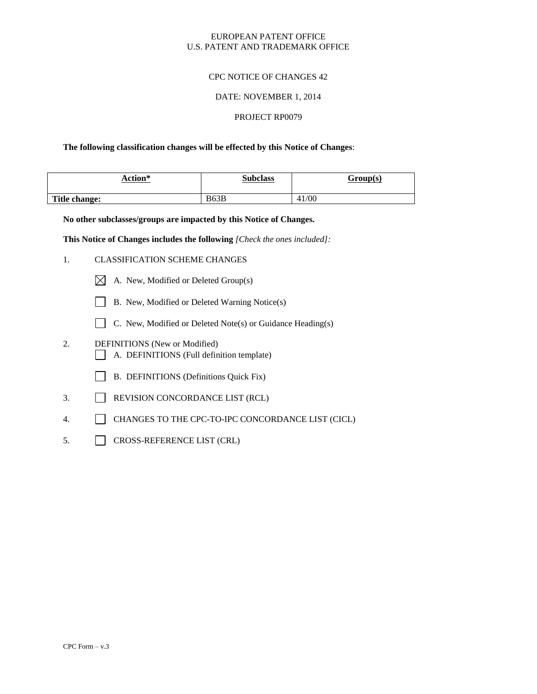### EUROPEAN PATENT OFFICE U.S. PATENT AND TRADEMARK OFFICE

# CPC NOTICE OF CHANGES 42

### DATE: NOVEMBER 1, 2014

### PROJECT RP0079

### **The following classification changes will be effected by this Notice of Changes**:

| Action*       | <b>Subclass</b> | Group(s) |
|---------------|-----------------|----------|
| Title change: | B63B            | 41/00    |

**No other subclasses/groups are impacted by this Notice of Changes.**

**This Notice of Changes includes the following** *[Check the ones included]:*

- 1. CLASSIFICATION SCHEME CHANGES
	- $\boxtimes$  A. New, Modified or Deleted Group(s)
	- B. New, Modified or Deleted Warning Notice(s)
	- $\Box$  C. New, Modified or Deleted Note(s) or Guidance Heading(s)
- 2. DEFINITIONS (New or Modified) A. DEFINITIONS (Full definition template)
	- B. DEFINITIONS (Definitions Quick Fix)
- 3. REVISION CONCORDANCE LIST (RCL)
- 4. CHANGES TO THE CPC-TO-IPC CONCORDANCE LIST (CICL)
- 5. CROSS-REFERENCE LIST (CRL)